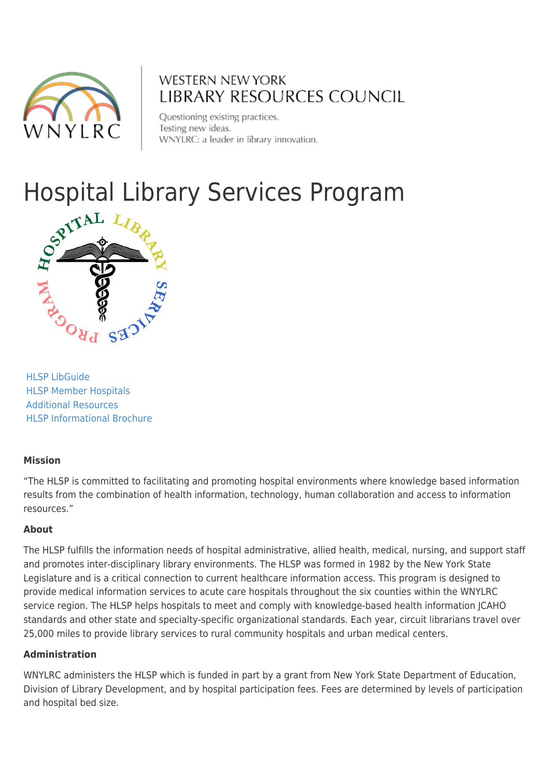

### **WESTERN NEW YORK LIBRARY RESOURCES COUNCIL**

Questioning existing practices. Testing new ideas. WNYLRC: a leader in library innovation.

# Hospital Library Services Program



[HLSP LibGuide](http://wnylrc.libguides.com/wnyhlsp) [HLSP Member Hospitals](#page--1-0) [Additional Resources](#page--1-0) [HLSP Informational Brochure](http://www.wnylrc.org/uploads/documents/hlsp/Final_HLSPbrochure.pdf)

#### **Mission**

"The HLSP is committed to facilitating and promoting hospital environments where knowledge based information results from the combination of health information, technology, human collaboration and access to information resources."

#### **About**

The HLSP fulfills the information needs of hospital administrative, allied health, medical, nursing, and support staff and promotes inter-disciplinary library environments. The HLSP was formed in 1982 by the New York State Legislature and is a critical connection to current healthcare information access. This program is designed to provide medical information services to acute care hospitals throughout the six counties within the WNYLRC service region. The HLSP helps hospitals to meet and comply with knowledge-based health information JCAHO standards and other state and specialty-specific organizational standards. Each year, circuit librarians travel over 25,000 miles to provide library services to rural community hospitals and urban medical centers.

#### **Administration**

WNYLRC administers the HLSP which is funded in part by a grant from New York State Department of Education, Division of Library Development, and by hospital participation fees. Fees are determined by levels of participation and hospital bed size.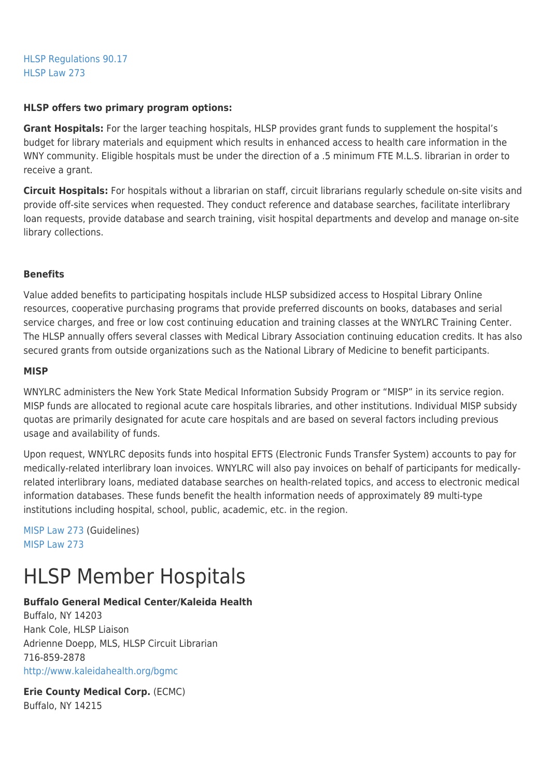[HLSP Regulations 90.17](http://www.wnylrc.org/uploads/documents/ny3rlawsregs/hlsp_regulations_90_17.pdf) [HLSP Law 273](http://www.wnylrc.org/uploads/documents/ny3rlawsregs/ny3r_general_laws_hlsp_273.pdf)

#### **HLSP offers two primary program options:**

**Grant Hospitals:** For the larger teaching hospitals, HLSP provides grant funds to supplement the hospital's budget for library materials and equipment which results in enhanced access to health care information in the WNY community. Eligible hospitals must be under the direction of a .5 minimum FTE M.L.S. librarian in order to receive a grant.

**Circuit Hospitals:** For hospitals without a librarian on staff, circuit librarians regularly schedule on-site visits and provide off-site services when requested. They conduct reference and database searches, facilitate interlibrary loan requests, provide database and search training, visit hospital departments and develop and manage on-site library collections.

#### **Benefits**

Value added benefits to participating hospitals include HLSP subsidized access to Hospital Library Online resources, cooperative purchasing programs that provide preferred discounts on books, databases and serial service charges, and free or low cost continuing education and training classes at the WNYLRC Training Center. The HLSP annually offers several classes with Medical Library Association continuing education credits. It has also secured grants from outside organizations such as the National Library of Medicine to benefit participants.

#### **MISP**

WNYLRC administers the New York State Medical Information Subsidy Program or "MISP" in its service region. MISP funds are allocated to regional acute care hospitals libraries, and other institutions. Individual MISP subsidy quotas are primarily designated for acute care hospitals and are based on several factors including previous usage and availability of funds.

Upon request, WNYLRC deposits funds into hospital EFTS (Electronic Funds Transfer System) accounts to pay for medically-related interlibrary loan invoices. WNYLRC will also pay invoices on behalf of participants for medicallyrelated interlibrary loans, mediated database searches on health-related topics, and access to electronic medical information databases. These funds benefit the health information needs of approximately 89 multi-type institutions including hospital, school, public, academic, etc. in the region.

[MISP Law 273](http://www.wnylrc.org/uploads/documents/ny3rlawsregs/ny3r_general_laws_hlsp_273_misp_guidelines.pdf) (Guidelines) [MISP Law 273](http://www.wnylrc.org/uploads/documents/ny3rlawsregs/ny3r_general_laws_hlsp_273_misp.pdf)

### HLSP Member Hospitals

#### **Buffalo General Medical Center/Kaleida Health**

Buffalo, NY 14203 Hank Cole, HLSP Liaison Adrienne Doepp, MLS, HLSP Circuit Librarian 716-859-2878 <http://www.kaleidahealth.org/bgmc>

**Erie County Medical Corp.** (ECMC) Buffalo, NY 14215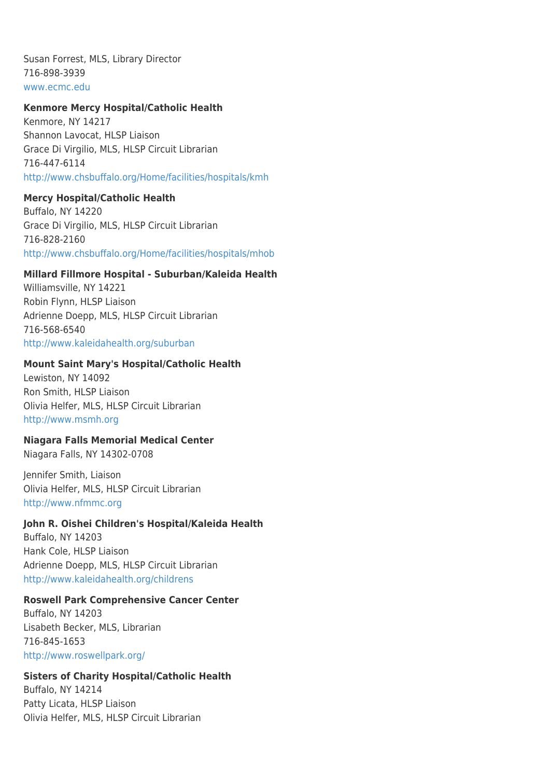Susan Forrest, MLS, Library Director 716-898-3939 [www.ecmc.edu](http://www.ecmc.edu/)

#### **Kenmore Mercy Hospital/Catholic Health**

Kenmore, NY 14217 Shannon Lavocat, HLSP Liaison Grace Di Virgilio, MLS, HLSP Circuit Librarian 716-447-6114 <http://www.chsbuffalo.org/Home/facilities/hospitals/kmh>

#### **Mercy Hospital/Catholic Health**

Buffalo, NY 14220 Grace Di Virgilio, MLS, HLSP Circuit Librarian 716-828-2160 <http://www.chsbuffalo.org/Home/facilities/hospitals/mhob>

#### **Millard Fillmore Hospital - Suburban/Kaleida Health**

Williamsville, NY 14221 Robin Flynn, HLSP Liaison Adrienne Doepp, MLS, HLSP Circuit Librarian 716-568-6540 <http://www.kaleidahealth.org/suburban>

#### **Mount Saint Mary's Hospital/Catholic Health**

Lewiston, NY 14092 Ron Smith, HLSP Liaison Olivia Helfer, MLS, HLSP Circuit Librarian [http://www.msmh.org](http://www.msmh.org/)

#### **Niagara Falls Memorial Medical Center**

Niagara Falls, NY 14302-0708

Jennifer Smith, Liaison Olivia Helfer, MLS, HLSP Circuit Librarian [http://www.nfmmc.org](http://www.nfmmc.org/)

#### **John R. Oishei Children's Hospital/Kaleida Health**

Buffalo, NY 14203 Hank Cole, HLSP Liaison Adrienne Doepp, MLS, HLSP Circuit Librarian <http://www.kaleidahealth.org/childrens>

#### **Roswell Park Comprehensive Cancer Center**

Buffalo, NY 14203 Lisabeth Becker, MLS, Librarian 716-845-1653 <http://www.roswellpark.org/>

#### **Sisters of Charity Hospital/Catholic Health**

Buffalo, NY 14214 Patty Licata, HLSP Liaison Olivia Helfer, MLS, HLSP Circuit Librarian